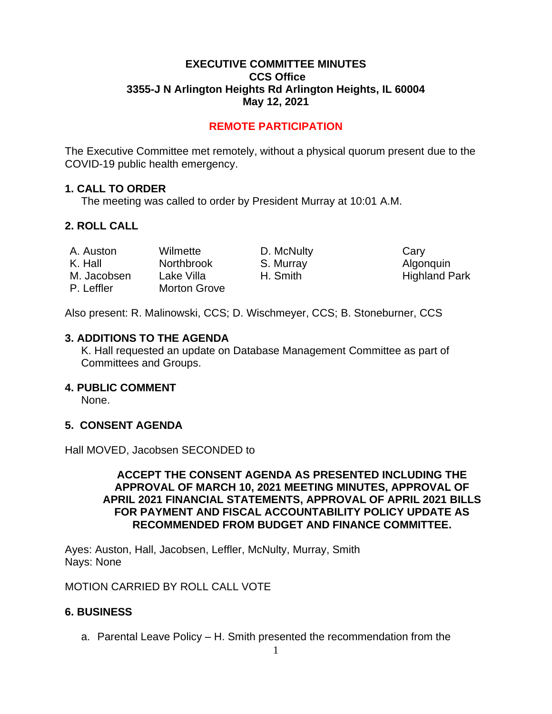## **EXECUTIVE COMMITTEE MINUTES CCS Office 3355-J N Arlington Heights Rd Arlington Heights, IL 60004 May 12, 2021**

# **REMOTE PARTICIPATION**

The Executive Committee met remotely, without a physical quorum present due to the COVID-19 public health emergency.

### **1. CALL TO ORDER**

The meeting was called to order by President Murray at 10:01 A.M.

# **2. ROLL CALL**

| A. Auston   | Wilmette            | D. McNulty | Cary |
|-------------|---------------------|------------|------|
| K. Hall     | <b>Northbrook</b>   | S. Murray  | Algo |
| M. Jacobsen | Lake Villa          | H. Smith   | High |
| P. Leffler  | <b>Morton Grove</b> |            |      |

urray **Algonquin** mith **Highland Park** 

Also present: R. Malinowski, CCS; D. Wischmeyer, CCS; B. Stoneburner, CCS

### **3. ADDITIONS TO THE AGENDA**

K. Hall requested an update on Database Management Committee as part of Committees and Groups.

## **4. PUBLIC COMMENT**

None.

# **5. CONSENT AGENDA**

Hall MOVED, Jacobsen SECONDED to

## **ACCEPT THE CONSENT AGENDA AS PRESENTED INCLUDING THE APPROVAL OF MARCH 10, 2021 MEETING MINUTES, APPROVAL OF APRIL 2021 FINANCIAL STATEMENTS, APPROVAL OF APRIL 2021 BILLS FOR PAYMENT AND FISCAL ACCOUNTABILITY POLICY UPDATE AS RECOMMENDED FROM BUDGET AND FINANCE COMMITTEE.**

Ayes: Auston, Hall, Jacobsen, Leffler, McNulty, Murray, Smith Nays: None

MOTION CARRIED BY ROLL CALL VOTE

## **6. BUSINESS**

a. Parental Leave Policy – H. Smith presented the recommendation from the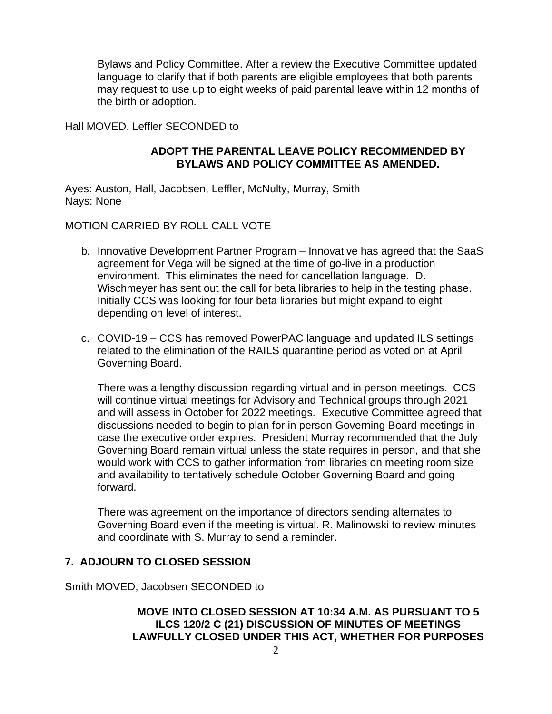Bylaws and Policy Committee. After a review the Executive Committee updated language to clarify that if both parents are eligible employees that both parents may request to use up to eight weeks of paid parental leave within 12 months of the birth or adoption.

Hall MOVED, Leffler SECONDED to

## **ADOPT THE PARENTAL LEAVE POLICY RECOMMENDED BY BYLAWS AND POLICY COMMITTEE AS AMENDED.**

Ayes: Auston, Hall, Jacobsen, Leffler, McNulty, Murray, Smith Nays: None

MOTION CARRIED BY ROLL CALL VOTE

- b. Innovative Development Partner Program Innovative has agreed that the SaaS agreement for Vega will be signed at the time of go-live in a production environment. This eliminates the need for cancellation language. D. Wischmeyer has sent out the call for beta libraries to help in the testing phase. Initially CCS was looking for four beta libraries but might expand to eight depending on level of interest.
- c. COVID-19 CCS has removed PowerPAC language and updated ILS settings related to the elimination of the RAILS quarantine period as voted on at April Governing Board.

There was a lengthy discussion regarding virtual and in person meetings. CCS will continue virtual meetings for Advisory and Technical groups through 2021 and will assess in October for 2022 meetings. Executive Committee agreed that discussions needed to begin to plan for in person Governing Board meetings in case the executive order expires. President Murray recommended that the July Governing Board remain virtual unless the state requires in person, and that she would work with CCS to gather information from libraries on meeting room size and availability to tentatively schedule October Governing Board and going forward.

There was agreement on the importance of directors sending alternates to Governing Board even if the meeting is virtual. R. Malinowski to review minutes and coordinate with S. Murray to send a reminder.

# **7. ADJOURN TO CLOSED SESSION**

Smith MOVED, Jacobsen SECONDED to

# **MOVE INTO CLOSED SESSION AT 10:34 A.M. AS PURSUANT TO 5 ILCS 120/2 C (21) DISCUSSION OF MINUTES OF MEETINGS LAWFULLY CLOSED UNDER THIS ACT, WHETHER FOR PURPOSES**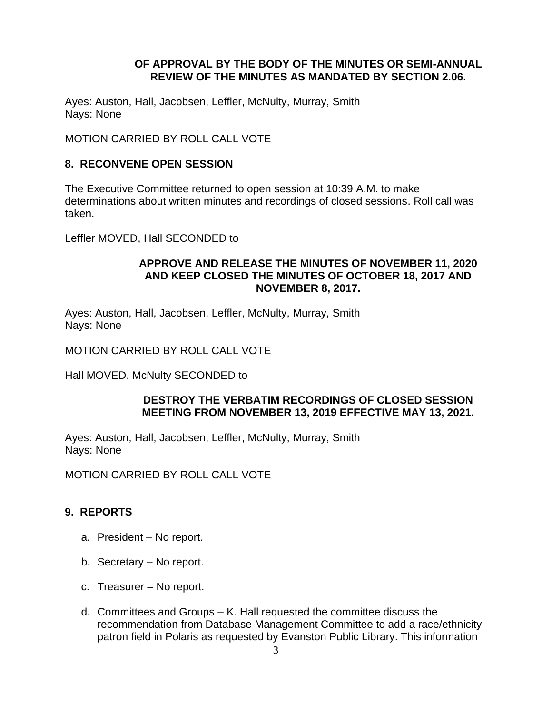## **OF APPROVAL BY THE BODY OF THE MINUTES OR SEMI-ANNUAL REVIEW OF THE MINUTES AS MANDATED BY SECTION 2.06.**

Ayes: Auston, Hall, Jacobsen, Leffler, McNulty, Murray, Smith Nays: None

MOTION CARRIED BY ROLL CALL VOTE

## **8. RECONVENE OPEN SESSION**

The Executive Committee returned to open session at 10:39 A.M. to make determinations about written minutes and recordings of closed sessions. Roll call was taken.

Leffler MOVED, Hall SECONDED to

### **APPROVE AND RELEASE THE MINUTES OF NOVEMBER 11, 2020 AND KEEP CLOSED THE MINUTES OF OCTOBER 18, 2017 AND NOVEMBER 8, 2017.**

Ayes: Auston, Hall, Jacobsen, Leffler, McNulty, Murray, Smith Nays: None

MOTION CARRIED BY ROLL CALL VOTE

Hall MOVED, McNulty SECONDED to

### **DESTROY THE VERBATIM RECORDINGS OF CLOSED SESSION MEETING FROM NOVEMBER 13, 2019 EFFECTIVE MAY 13, 2021.**

Ayes: Auston, Hall, Jacobsen, Leffler, McNulty, Murray, Smith Nays: None

MOTION CARRIED BY ROLL CALL VOTE

# **9. REPORTS**

- a. President No report.
- b. Secretary No report.
- c. Treasurer No report.
- d. Committees and Groups K. Hall requested the committee discuss the recommendation from Database Management Committee to add a race/ethnicity patron field in Polaris as requested by Evanston Public Library. This information